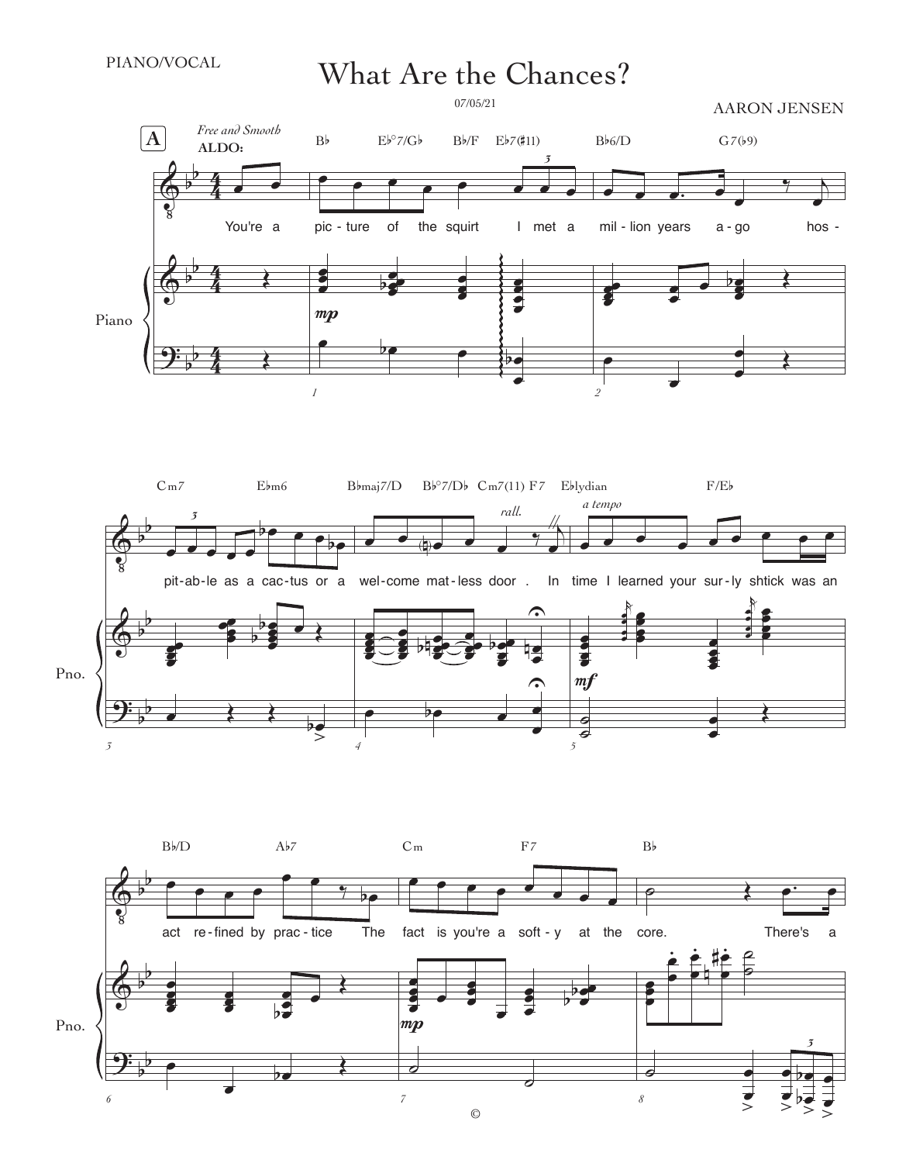PIANO/VOCAL

## What Are the Chances?

 $\bf \Phi$  $\bm{\bm{\phi}}$  $\overline{\mathbf{P}}$ b b b b b b  $\frac{4}{4}$ 4  $\frac{4}{4}$ 4  $\frac{4}{4}$ 4 Piano  $\overline{\phantom{a}}$ You're a Œ Œ  $\overline{\mathbf{A}}$  *Free and Smooth* **ALDO:**  $\bullet$  e  $\bullet$  e  $\bullet$   $\bullet$   $\bullet$   $\bullet$ *3* pic - ture of the squirt I met a œ e<br>E ě<br>O œ e<br>ge  $\frac{c}{c^2}$ e<br>S ĕ  $\overline{\bullet}$ œ ē<br>2 œ g g g g g g g g g ş g g g g g g g *1*  $\bullet$  be  $\bullet$  be œ b  $B\flat$   $E\flat^{\circ}$ 7/ $G\flat$   $B\flat$ / $F$   $E\flat$ 7(#11)  $Eb^{\circ}$ 7/Gb  $mp$ œ œ œ. œ œ  $^{\prime}$ œ - ture of the squirt I met a mil-lion-years a-go hosœœ œ œ œ œ  $rac{p}{2}$ œ œ  $\frac{1}{2}$ *2* œ œ œ œ Œ  $B\flat6/D$   $G7(\flat9)$ AARON JENSEN 07/05/21



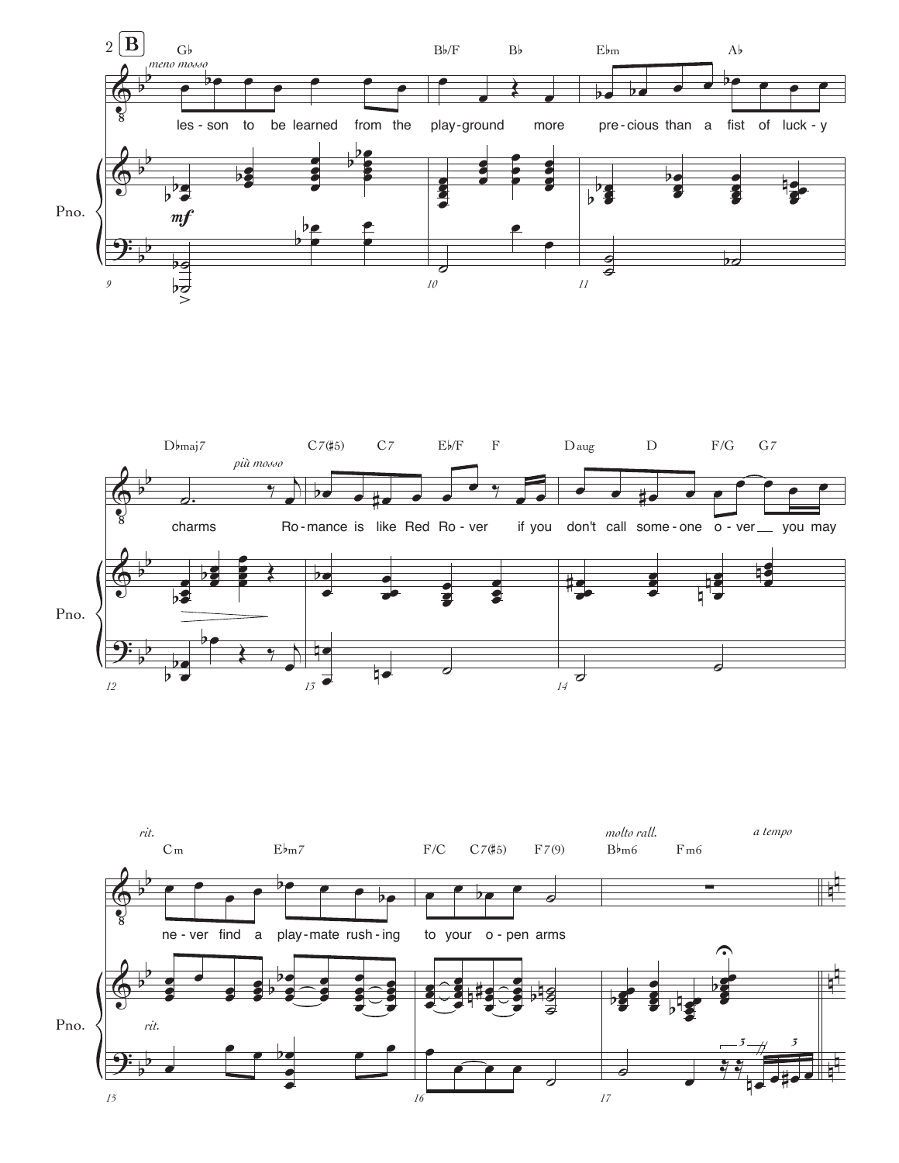



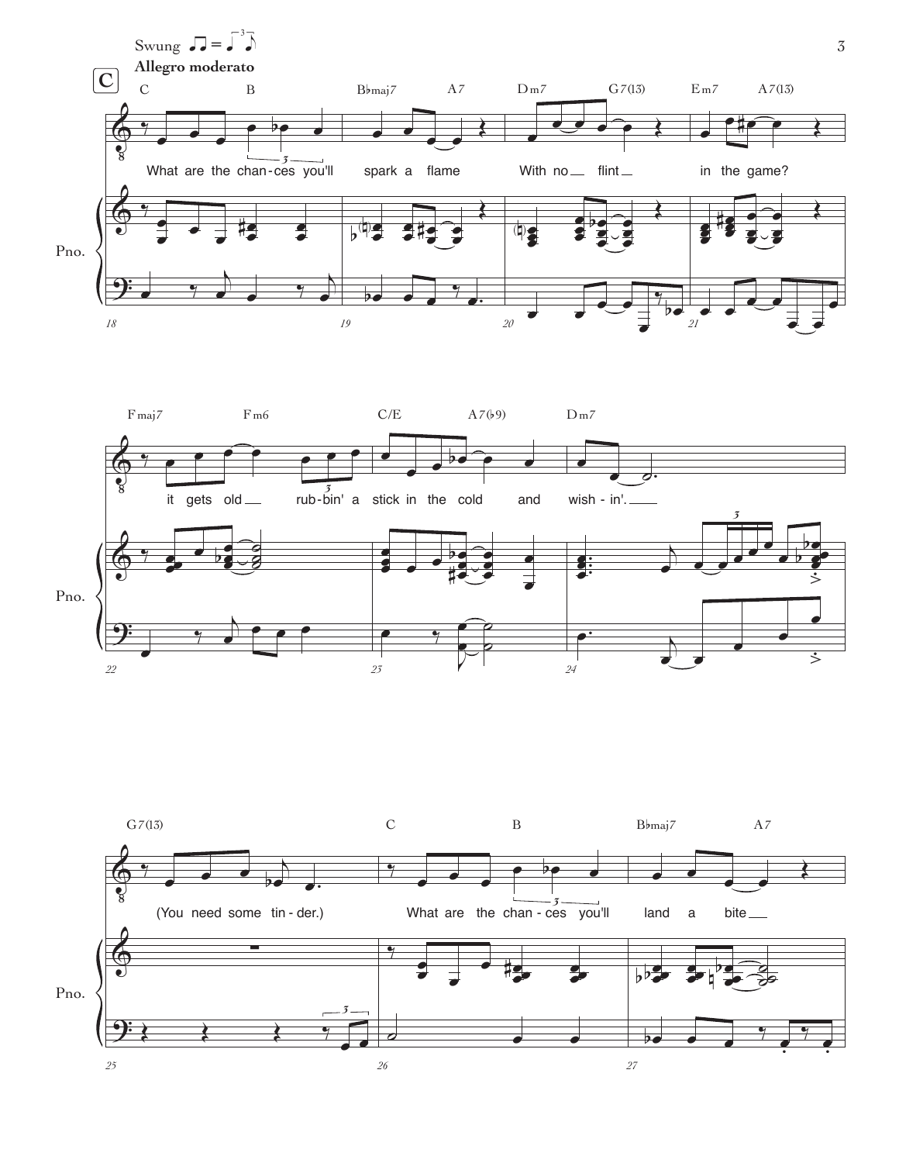



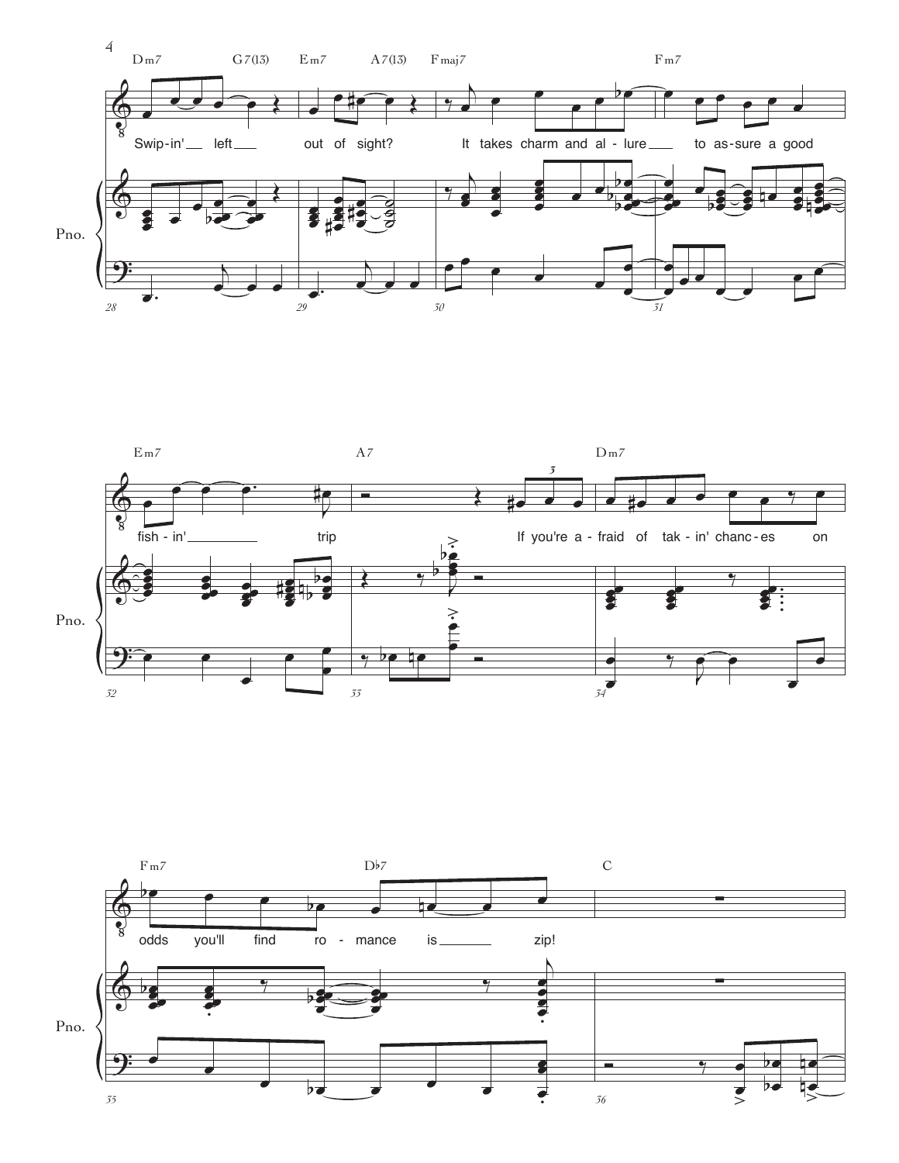



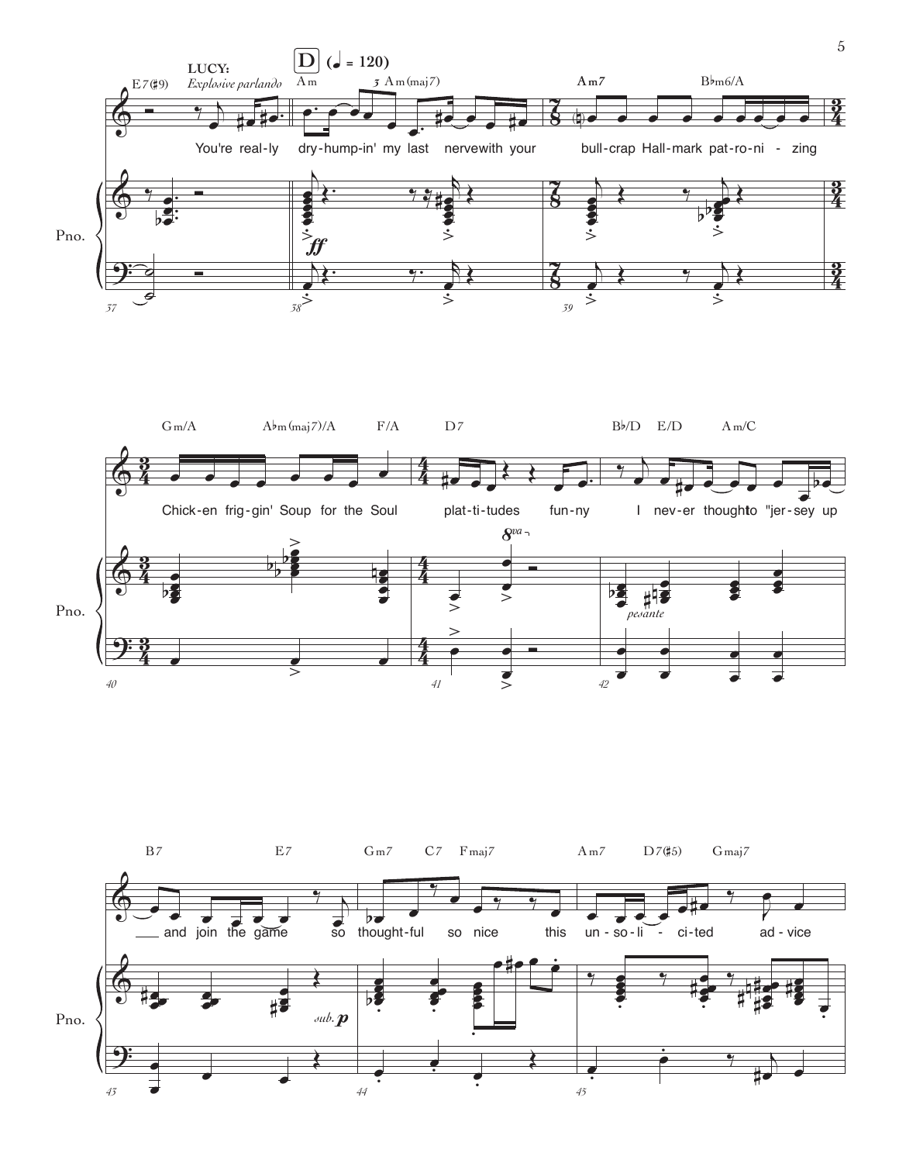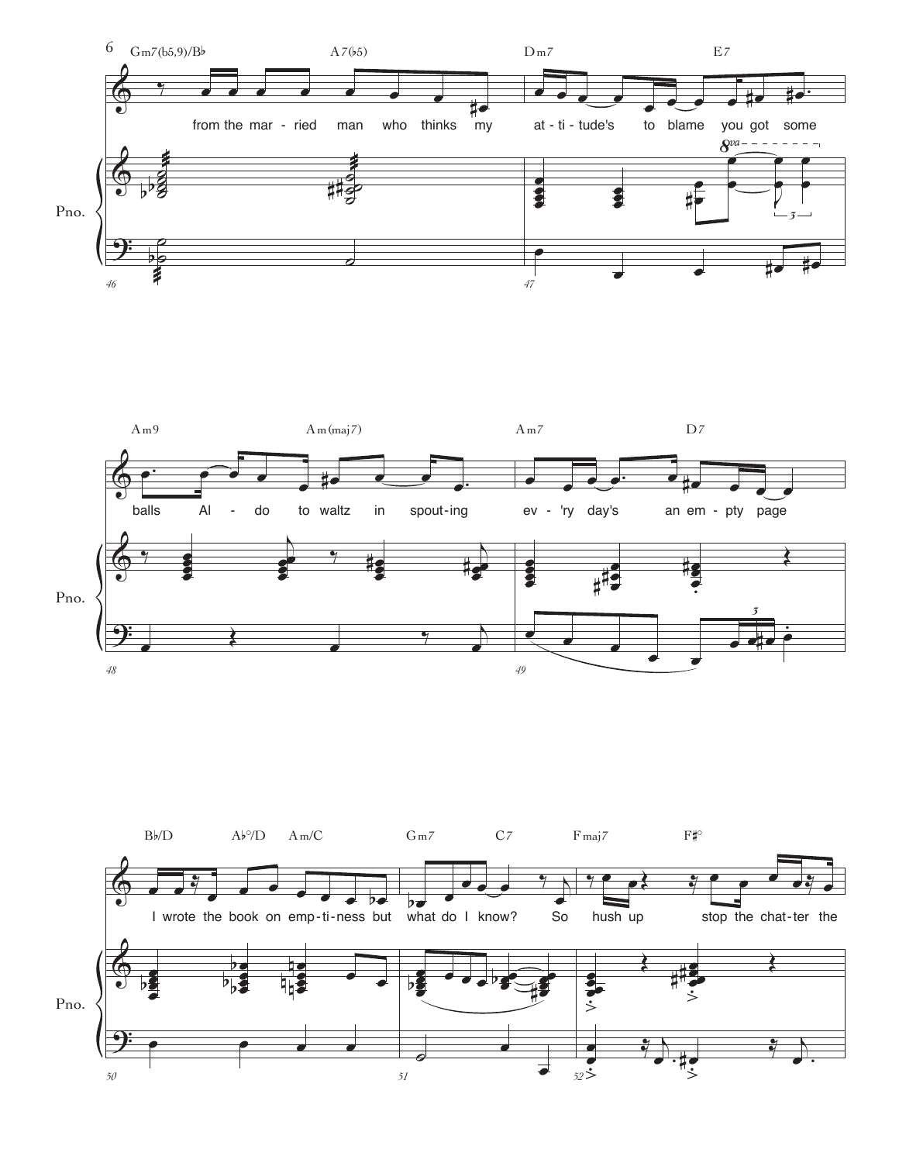



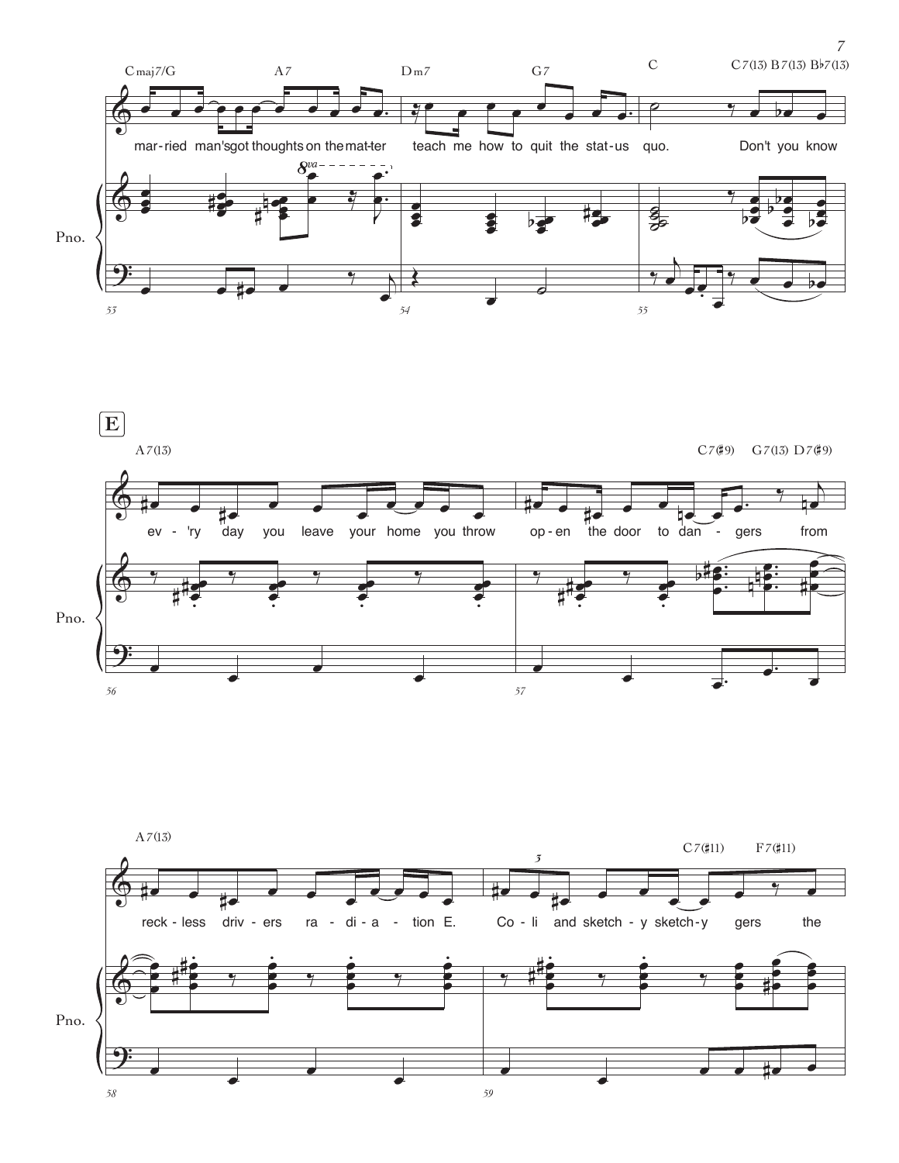





 $\boldsymbol{7}$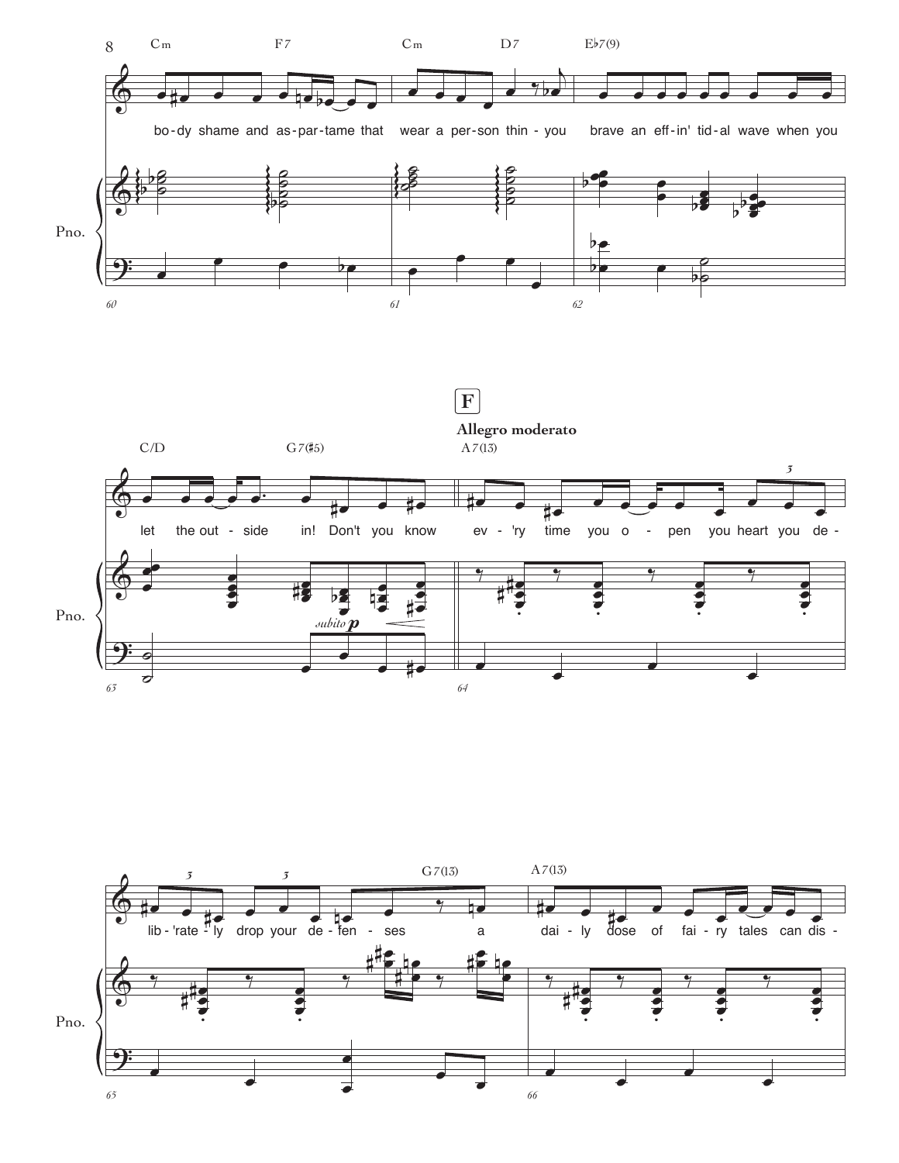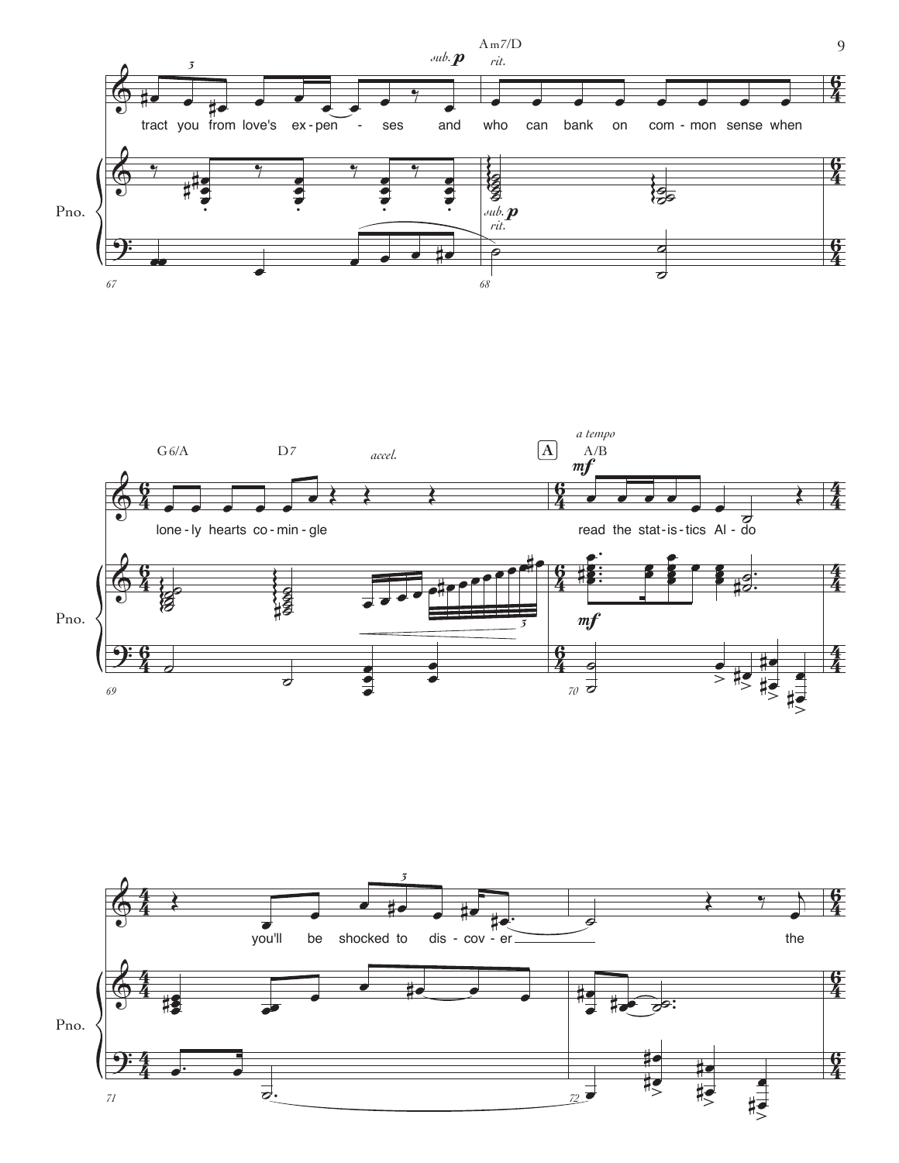



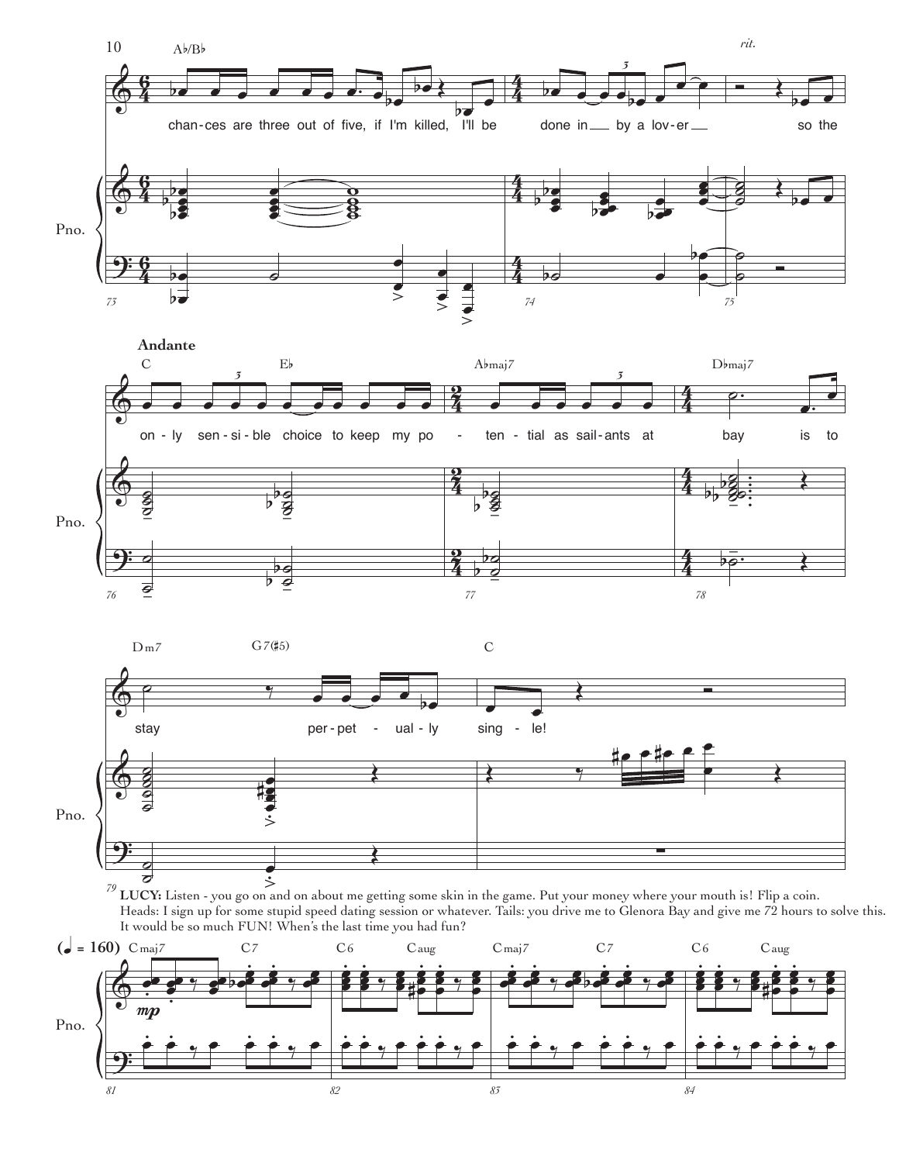

*82 83*

*84*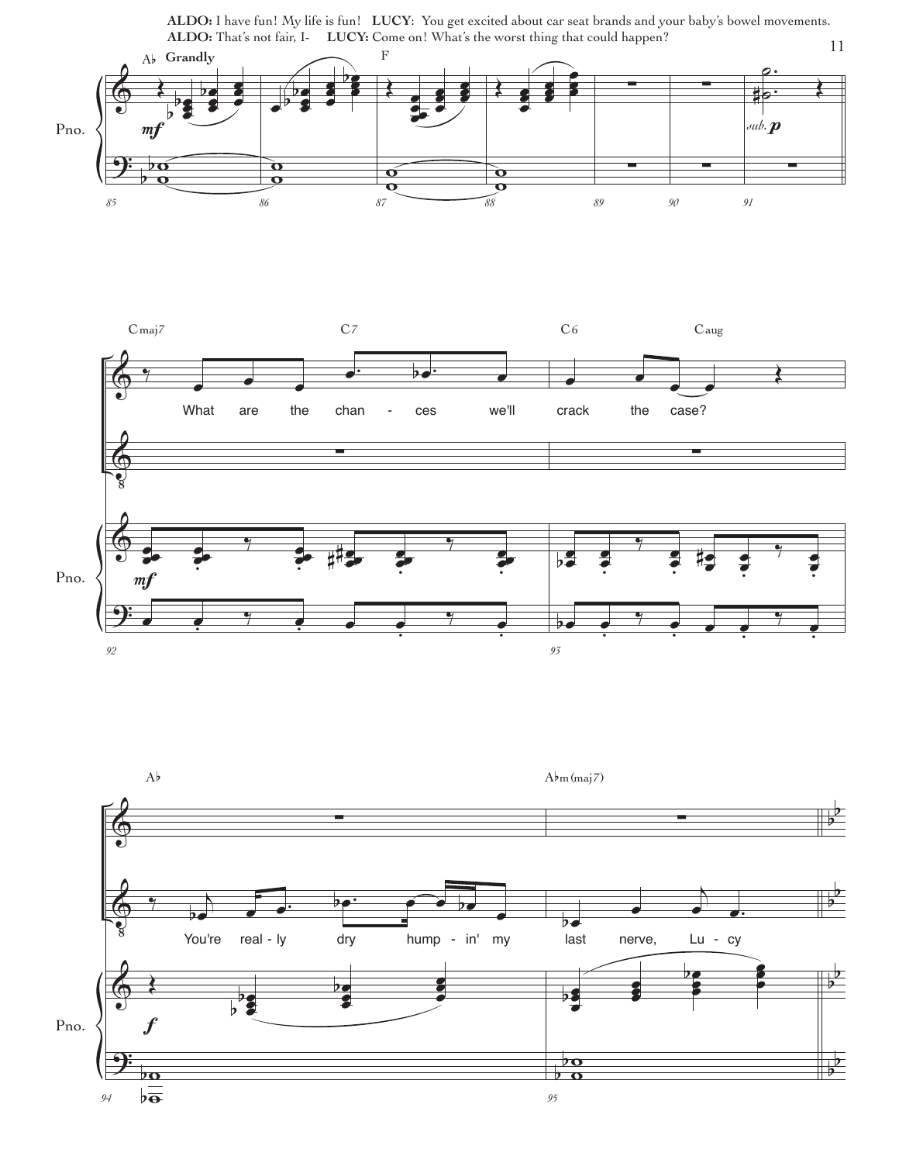**ALDO:** I have fun! My life is fun! **LUCY**: You get excited about car seat brands and your baby's bowel movements. **ALDO:** That's not fair, I- **LUCY:** Come on! What's the worst thing that could happen?



*94*

 $\overline{\mathbf{p}}$  $b\bar{a}$ 

*95*

 $\overline{b}$  $\frac{\rho}{\rho}$   $\frac{1}{2}$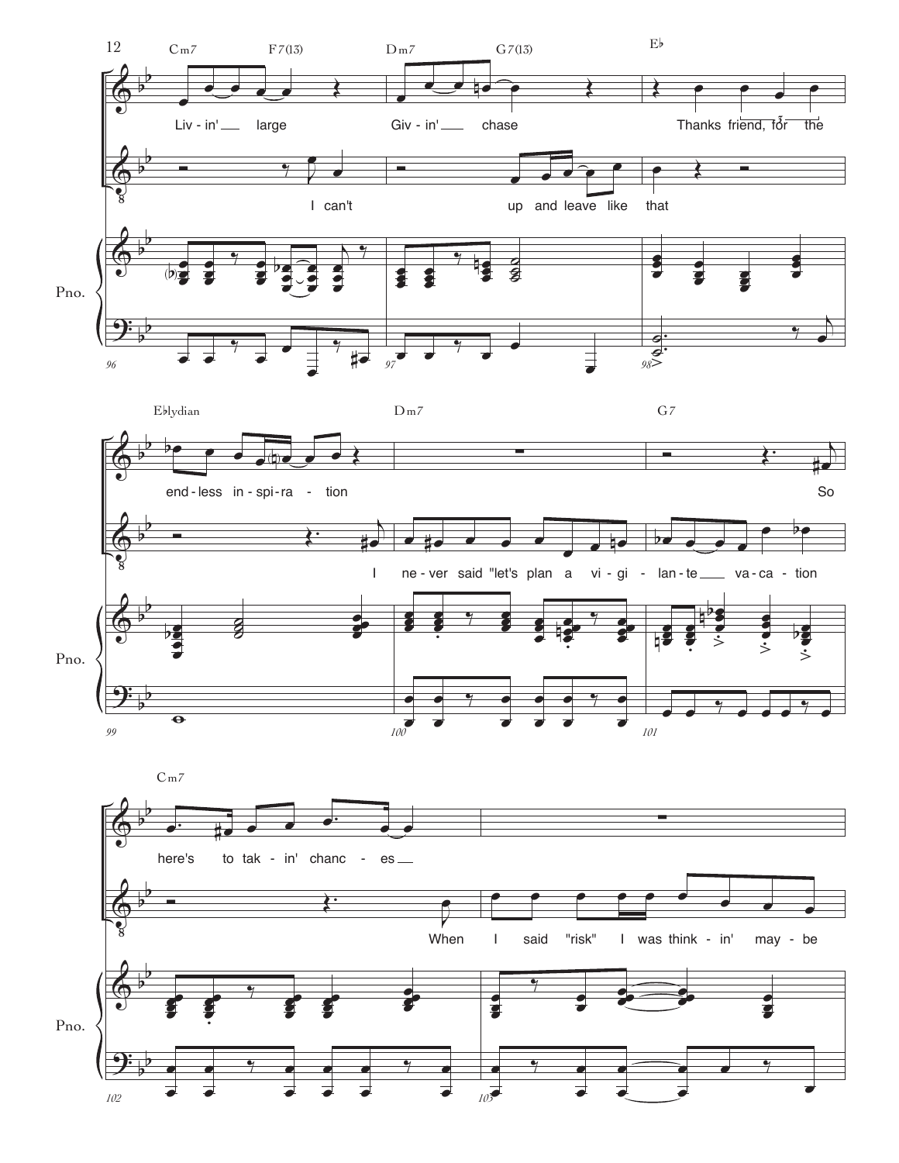